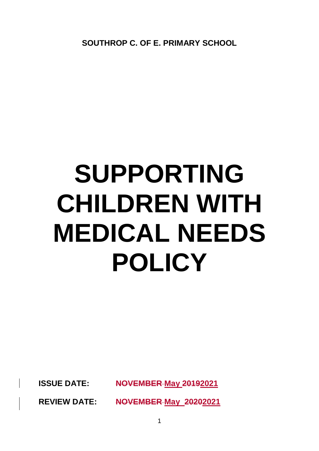**SOUTHROP C. OF E. PRIMARY SCHOOL**

# **SUPPORTING CHILDREN WITH MEDICAL NEEDS POLICY**

**ISSUE DATE: NOVEMBER May 20192021**

**REVIEW DATE: NOVEMBER May 20202021**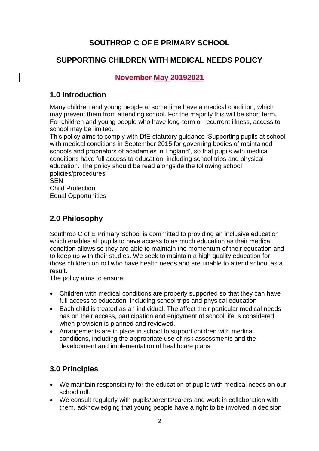# **SOUTHROP C OF E PRIMARY SCHOOL**

## **SUPPORTING CHILDREN WITH MEDICAL NEEDS POLICY**

## **November May 20192021**

### **1.0 Introduction**

Many children and young people at some time have a medical condition, which may prevent them from attending school. For the majority this will be short term. For children and young people who have long-term or recurrent illness, access to school may be limited.

This policy aims to comply with DfE statutory guidance 'Supporting pupils at school with medical conditions in September 2015 for governing bodies of maintained schools and proprietors of academies in England', so that pupils with medical conditions have full access to education, including school trips and physical education. The policy should be read alongside the following school policies/procedures:

**SEN** Child Protection Equal Opportunities

## **2.0 Philosophy**

Southrop C of E Primary School is committed to providing an inclusive education which enables all pupils to have access to as much education as their medical condition allows so they are able to maintain the momentum of their education and to keep up with their studies. We seek to maintain a high quality education for those children on roll who have health needs and are unable to attend school as a result.

The policy aims to ensure:

- Children with medical conditions are properly supported so that they can have full access to education, including school trips and physical education
- Each child is treated as an individual. The affect their particular medical needs has on their access, participation and enjoyment of school life is considered when provision is planned and reviewed.
- Arrangements are in place in school to support children with medical conditions, including the appropriate use of risk assessments and the development and implementation of healthcare plans.

## **3.0 Principles**

- We maintain responsibility for the education of pupils with medical needs on our school roll.
- We consult regularly with pupils/parents/carers and work in collaboration with them, acknowledging that young people have a right to be involved in decision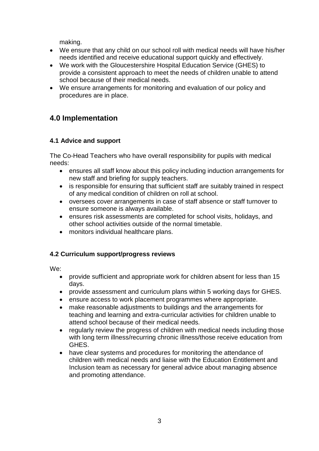making.

- We ensure that any child on our school roll with medical needs will have his/her needs identified and receive educational support quickly and effectively.
- We work with the Gloucestershire Hospital Education Service (GHES) to provide a consistent approach to meet the needs of children unable to attend school because of their medical needs.
- We ensure arrangements for monitoring and evaluation of our policy and procedures are in place.

## **4.0 Implementation**

#### **4.1 Advice and support**

The Co-Head Teachers who have overall responsibility for pupils with medical needs:

- ensures all staff know about this policy including induction arrangements for new staff and briefing for supply teachers.
- is responsible for ensuring that sufficient staff are suitably trained in respect of any medical condition of children on roll at school.
- oversees cover arrangements in case of staff absence or staff turnover to ensure someone is always available.
- ensures risk assessments are completed for school visits, holidays, and other school activities outside of the normal timetable.
- monitors individual healthcare plans.

#### **4.2 Curriculum support/progress reviews**

We:

- provide sufficient and appropriate work for children absent for less than 15 days.
- provide assessment and curriculum plans within 5 working days for GHES.
- ensure access to work placement programmes where appropriate.
- make reasonable adjustments to buildings and the arrangements for teaching and learning and extra-curricular activities for children unable to attend school because of their medical needs.
- regularly review the progress of children with medical needs including those with long term illness/recurring chronic illness/those receive education from GHES.
- have clear systems and procedures for monitoring the attendance of children with medical needs and liaise with the Education Entitlement and Inclusion team as necessary for general advice about managing absence and promoting attendance.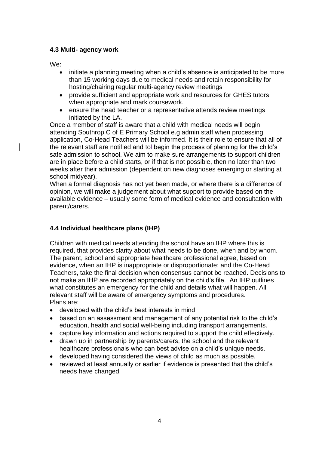#### **4.3 Multi- agency work**

We:

- initiate a planning meeting when a child's absence is anticipated to be more than 15 working days due to medical needs and retain responsibility for hosting/chairing regular multi-agency review meetings
- provide sufficient and appropriate work and resources for GHES tutors when appropriate and mark coursework.
- ensure the head teacher or a representative attends review meetings initiated by the LA.

Once a member of staff is aware that a child with medical needs will begin attending Southrop C of E Primary School e.g admin staff when processing application, Co-Head Teachers will be informed. It is their role to ensure that all of the relevant staff are notified and tol begin the process of planning for the child's safe admission to school. We aim to make sure arrangements to support children are in place before a child starts, or if that is not possible, then no later than two weeks after their admission (dependent on new diagnoses emerging or starting at school midyear).

When a formal diagnosis has not yet been made, or where there is a difference of opinion, we will make a judgement about what support to provide based on the available evidence – usually some form of medical evidence and consultation with parent/carers.

#### **4.4 Individual healthcare plans (IHP)**

Children with medical needs attending the school have an IHP where this is required, that provides clarity about what needs to be done, when and by whom. The parent, school and appropriate healthcare professional agree, based on evidence, when an IHP is inappropriate or disproportionate; and the Co-Head Teachers, take the final decision when consensus cannot be reached. Decisions to not make an IHP are recorded appropriately on the child's file. An IHP outlines what constitutes an emergency for the child and details what will happen. All relevant staff will be aware of emergency symptoms and procedures. Plans are:

- developed with the child's best interests in mind
- based on an assessment and management of any potential risk to the child's education, health and social well-being including transport arrangements.
- capture key information and actions required to support the child effectively.
- drawn up in partnership by parents/carers, the school and the relevant healthcare professionals who can best advise on a child's unique needs.
- developed having considered the views of child as much as possible.
- reviewed at least annually or earlier if evidence is presented that the child's needs have changed.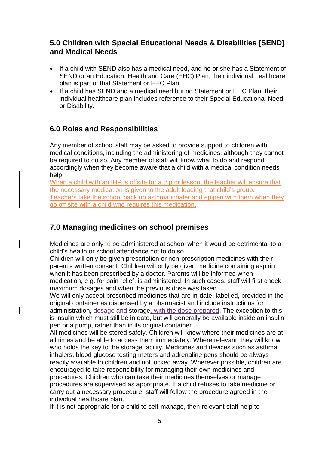## **5.0 Children with Special Educational Needs & Disabilities [SEND] and Medical Needs**

- If a child with SEND also has a medical need, and he or she has a Statement of SEND or an Education, Health and Care (EHC) Plan, their individual healthcare plan is part of that Statement or EHC Plan.
- If a child has SEND and a medical need but no Statement or EHC Plan, their individual healthcare plan includes reference to their Special Educational Need or Disability.

## **6.0 Roles and Responsibilities**

Any member of school staff may be asked to provide support to children with medical conditions, including the administering of medicines, although they cannot be required to do so. Any member of staff will know what to do and respond accordingly when they become aware that a child with a medical condition needs help.

When a child with an IHP is offsite for a trip or lesson, the teacher will ensure that the necessary medication is given to the adult leading that child's group. Teachers take the school back up asthma inhaler and epipen with them when they go off site with a child who requires this medication.

# **7.0 Managing medicines on school premises**

Medicines are only to be administered at school when it would be detrimental to a child's health or school attendance not to do so.

Children will only be given prescription or non-prescription medicines with their parent's written consent. Children will only be given medicine containing aspirin when it has been prescribed by a doctor. Parents will be informed when medication, e.g. for pain relief, is administered. In such cases, staff will first check maximum dosages and when the previous dose was taken.

We will only accept prescribed medicines that are in-date, labelled, provided in the original container as dispensed by a pharmacist and include instructions for administration, dosage and storage, with the dose prepared. The exception to this is insulin which must still be in date, but will generally be available inside an insulin pen or a pump, rather than in its original container.

All medicines will be stored safely. Children will know where their medicines are at all times and be able to access them immediately. Where relevant, they will know who holds the key to the storage facility. Medicines and devices such as asthma inhalers, blood glucose testing meters and adrenaline pens should be always readily available to children and not locked away. Wherever possible, children are encouraged to take responsibility for managing their own medicines and procedures. Children who can take their medicines themselves or manage procedures are supervised as appropriate. If a child refuses to take medicine or carry out a necessary procedure, staff will follow the procedure agreed in the individual healthcare plan.

If it is not appropriate for a child to self-manage, then relevant staff help to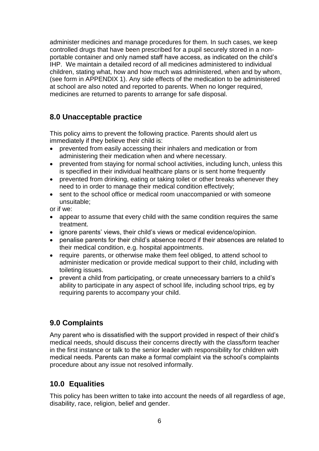administer medicines and manage procedures for them. In such cases, we keep controlled drugs that have been prescribed for a pupil securely stored in a nonportable container and only named staff have access, as indicated on the child's IHP. We maintain a detailed record of all medicines administered to individual children, stating what, how and how much was administered, when and by whom, (see form in APPENDIX 1). Any side effects of the medication to be administered at school are also noted and reported to parents. When no longer required, medicines are returned to parents to arrange for safe disposal.

## **8.0 Unacceptable practice**

This policy aims to prevent the following practice. Parents should alert us immediately if they believe their child is:

- prevented from easily accessing their inhalers and medication or from administering their medication when and where necessary.
- prevented from staying for normal school activities, including lunch, unless this is specified in their individual healthcare plans or is sent home frequently
- prevented from drinking, eating or taking toilet or other breaks whenever they need to in order to manage their medical condition effectively;
- sent to the school office or medical room unaccompanied or with someone unsuitable;

or if we:

- appear to assume that every child with the same condition requires the same treatment.
- ignore parents' views, their child's views or medical evidence/opinion.
- penalise parents for their child's absence record if their absences are related to their medical condition, e.g. hospital appointments.
- require parents, or otherwise make them feel obliged, to attend school to administer medication or provide medical support to their child, including with toileting issues.
- prevent a child from participating, or create unnecessary barriers to a child's ability to participate in any aspect of school life, including school trips, eg by requiring parents to accompany your child.

## **9.0 Complaints**

Any parent who is dissatisfied with the support provided in respect of their child's medical needs, should discuss their concerns directly with the class/form teacher in the first instance or talk to the senior leader with responsibility for children with medical needs. Parents can make a formal complaint via the school's complaints procedure about any issue not resolved informally.

# **10.0 Equalities**

This policy has been written to take into account the needs of all regardless of age, disability, race, religion, belief and gender.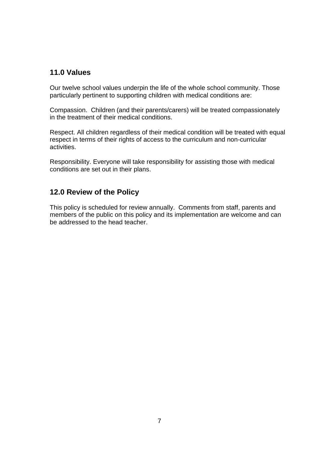## **11.0 Values**

Our twelve school values underpin the life of the whole school community. Those particularly pertinent to supporting children with medical conditions are:

Compassion. Children (and their parents/carers) will be treated compassionately in the treatment of their medical conditions.

Respect. All children regardless of their medical condition will be treated with equal respect in terms of their rights of access to the curriculum and non-curricular activities.

Responsibility. Everyone will take responsibility for assisting those with medical conditions are set out in their plans.

## **12.0 Review of the Policy**

This policy is scheduled for review annually. Comments from staff, parents and members of the public on this policy and its implementation are welcome and can be addressed to the head teacher.